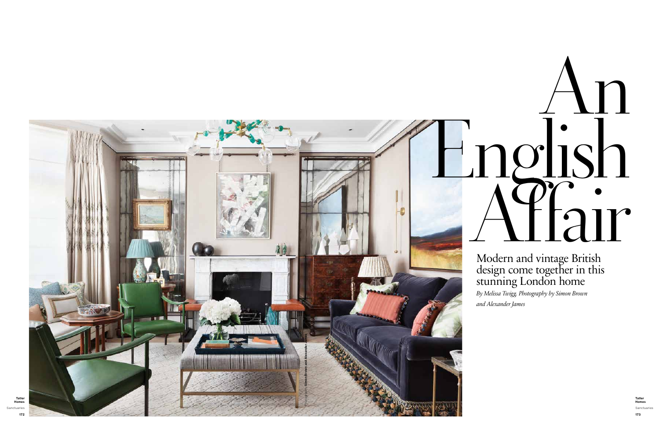# Modern and vintage British design come together in this stunning London home

# An English Modern and vintage British



*By Melissa Twigg. Photography by Simon Brown and Alexander James*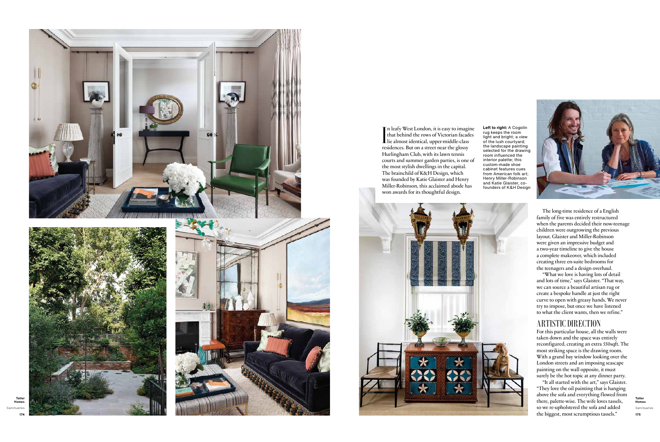

**Tatler Homes** Sanctuaries **175** 

The long-time residence of a English family of five was entirely restructured when the parents decided their now-teenage children were outgrowing the previous layout. Glaister and Miller-Robinson were given an impressive budget and a two-year timeline to give the house a complete makeover, which included creating three en-suite bedrooms for the teenagers and a design overhaul.

"What we love is having lots of detail and lots of time," says Glaister. "That way, we can source a beautiful artisan rug or create a bespoke handle at just the right curve to open with greasy hands. We never try to impose, but once we have listened to what the client wants, then we refine."

## ARTISTIC DIRECTION

In leafy West London, it is easy to imaging<br>that behind the rows of Victorian facadelie almost identical, upper-middle-class<br>recidences. But on a street near the glossy n leafy West London, it is easy to imagine that behind the rows of Victorian facades residences. But on a street near the glossy Hurlingham Club, with its lawn tennis courts and summer garden parties, is one of the most stylish dwellings in the capital. The brainchild of K&H Design, which was founded by Katie Glaister and Henry Miller-Robinson, this acclaimed abode has won awards for its thoughtful design.



For this particular house, all the walls were taken down and the space was entirely reconfigured, creating an extra 550sqft. The most striking space is the drawing room. With a grand bay window looking over the London streets and an imposing seascape painting on the wall opposite, it must surely be the hot topic at any dinner party.

"It all started with the art," says Glaister. "They love the oil painting that is hanging above the sofa and everything flowed from there, palette-wise. The wife loves tassels, so we re-upholstered the sofa and added the biggest, most scrumptious tassels."

**Left to right:** A Cogolin rug keeps the room light and bright; a view of the lush courtyard; the landscape painting selected for the drawing room influenced the interior palette; this custom-made shoe cabinet features cues from American folk art; Henry Miller-Robinson and Katie Glaister, cofounders of K&H Design

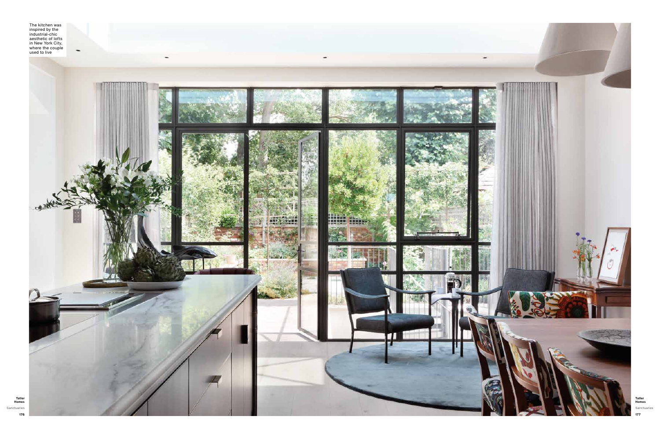The kitchen was inspired by the industrial-chic aesthetic of lofts in New York City,

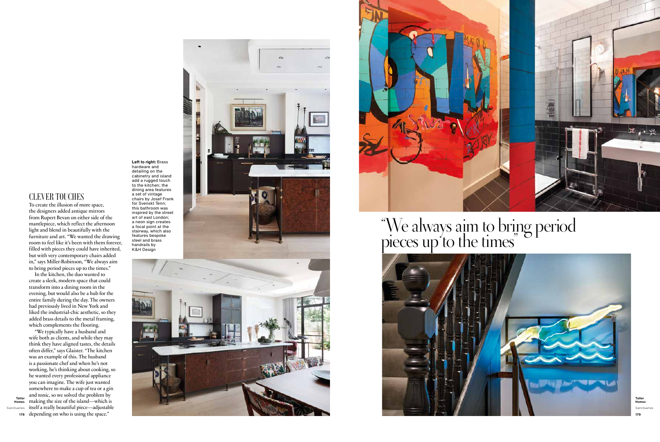**Left to right:** Brass hardware and





# "We always aim to bring period pieces up to the times"



**Tatler Homes** Sanctuaries **179** 

detailing on the cabinetry and island add a rugged touch to the kitchen; the dining area features a set of vintage chairs by Josef Frank for Svenskt Tenn; this bathroom was inspired by the street art of east London; a neon sign creates a focal point at the stairway, which also features bespoke steel and brass handrails by K&H Design

# CLEVER TOUCHES

To create the illusion of more space, the designers added antique mirrors from Rupert Bevan on either side of the mantlepiece, which reflect the afternoon light and blend in beautifully with the furniture and art. "We wanted the drawing room to feel like it's been with them forever, filled with pieces they could have inherited, but with very contemporary chairs added in," says Miller-Robinson, "We always aim to bring period pieces up to the times."

**178** depending on who is using the space.""We typically have a husband and wife both as clients, and while they may think they have aligned tastes, the details often differ," says Glaister. "The kitchen was an example of this. The husband is a passionate chef and when he's not working, he's thinking about cooking, so he wanted every professional appliance you can imagine. The wife just wanted somewhere to make a cup of tea or a gin and tonic, so we solved the problem by making the size of the island—which is itself a really beautiful piece—adjustable

In the kitchen, the duo wanted to create a sleek, modern space that could transform into a dining room in the evening, but would also be a hub for the entire family during the day. The owners had previously lived in New York and liked the industrial-chic aesthetic, so they added brass details to the metal framing, which complements the flooring.